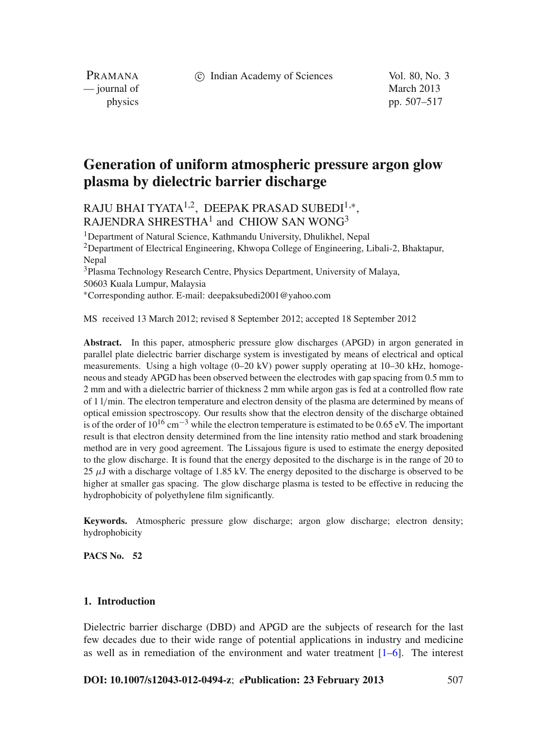c Indian Academy of Sciences Vol. 80, No. 3

PRAMANA — journal of March 2013

physics pp. 507–517

# **Generation of uniform atmospheric pressure argon glow plasma by dielectric barrier discharge**

## RAJU BHAI TYATA<sup>1,2</sup>, DEEPAK PRASAD SUBEDI<sup>1,\*</sup>. RAJENDRA SHRESTHA<sup>1</sup> and CHIOW SAN WONG<sup>3</sup>

1Department of Natural Science, Kathmandu University, Dhulikhel, Nepal 2Department of Electrical Engineering, Khwopa College of Engineering, Libali-2, Bhaktapur, Nepal 3Plasma Technology Research Centre, Physics Department, University of Malaya, 50603 Kuala Lumpur, Malaysia <sup>∗</sup>Corresponding author. E-mail: deepaksubedi2001@yahoo.com

MS received 13 March 2012; revised 8 September 2012; accepted 18 September 2012

**Abstract.** In this paper, atmospheric pressure glow discharges (APGD) in argon generated in parallel plate dielectric barrier discharge system is investigated by means of electrical and optical measurements. Using a high voltage (0–20 kV) power supply operating at 10–30 kHz, homogeneous and steady APGD has been observed between the electrodes with gap spacing from 0.5 mm to 2 mm and with a dielectric barrier of thickness 2 mm while argon gas is fed at a controlled flow rate of 1 l/min. The electron temperature and electron density of the plasma are determined by means of optical emission spectroscopy. Our results show that the electron density of the discharge obtained is of the order of  $10^{16}$  cm<sup>-3</sup> while the electron temperature is estimated to be 0.65 eV. The important result is that electron density determined from the line intensity ratio method and stark broadening method are in very good agreement. The Lissajous figure is used to estimate the energy deposited to the glow discharge. It is found that the energy deposited to the discharge is in the range of 20 to 25  $\mu$ J with a discharge voltage of 1.85 kV. The energy deposited to the discharge is observed to be higher at smaller gas spacing. The glow discharge plasma is tested to be effective in reducing the hydrophobicity of polyethylene film significantly.

**Keywords.** Atmospheric pressure glow discharge; argon glow discharge; electron density; hydrophobicity

**PACS No. 52**

## **1. Introduction**

Dielectric barrier discharge (DBD) and APGD are the subjects of research for the last few decades due to their wide range of potential applications in industry and medicine as well as in remediation of the environment and water treatment [\[1](#page-10-0)[–6](#page-10-1)]. The interest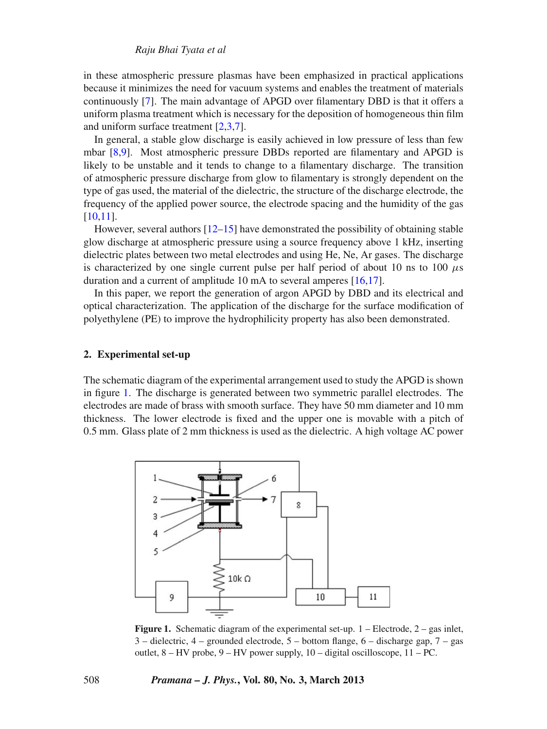## *Raju Bhai Tyata et al*

in these atmospheric pressure plasmas have been emphasized in practical applications because it minimizes the need for vacuum systems and enables the treatment of materials continuously [\[7](#page-10-2)]. The main advantage of APGD over filamentary DBD is that it offers a uniform plasma treatment which is necessary for the deposition of homogeneous thin film and uniform surface treatment [\[2](#page-10-3)[,3](#page-10-4)[,7\]](#page-10-2).

In general, a stable glow discharge is easily achieved in low pressure of less than few mbar [\[8](#page-10-5)[,9](#page-10-6)]. Most atmospheric pressure DBDs reported are filamentary and APGD is likely to be unstable and it tends to change to a filamentary discharge. The transition of atmospheric pressure discharge from glow to filamentary is strongly dependent on the type of gas used, the material of the dielectric, the structure of the discharge electrode, the frequency of the applied power source, the electrode spacing and the humidity of the gas [\[10](#page-10-7)[,11\]](#page-10-8).

However, several authors  $[12-15]$  $[12-15]$  have demonstrated the possibility of obtaining stable glow discharge at atmospheric pressure using a source frequency above 1 kHz, inserting dielectric plates between two metal electrodes and using He, Ne, Ar gases. The discharge is characterized by one single current pulse per half period of about 10 ns to 100  $\mu$ s duration and a current of amplitude 10 mA to several amperes [\[16](#page-10-11)[,17](#page-10-12)].

In this paper, we report the generation of argon APGD by DBD and its electrical and optical characterization. The application of the discharge for the surface modification of polyethylene (PE) to improve the hydrophilicity property has also been demonstrated.

#### **2. Experimental set-up**

The schematic diagram of the experimental arrangement used to study the APGD is shown in figure [1.](#page-1-0) The discharge is generated between two symmetric parallel electrodes. The electrodes are made of brass with smooth surface. They have 50 mm diameter and 10 mm thickness. The lower electrode is fixed and the upper one is movable with a pitch of 0.5 mm. Glass plate of 2 mm thickness is used as the dielectric. A high voltage AC power

<span id="page-1-0"></span>

**Figure 1.** Schematic diagram of the experimental set-up. 1 – Electrode, 2 – gas inlet, 3 – dielectric, 4 – grounded electrode, 5 – bottom flange, 6 – discharge gap, 7 – gas outlet, 8 – HV probe, 9 – HV power supply, 10 – digital oscilloscope, 11 – PC.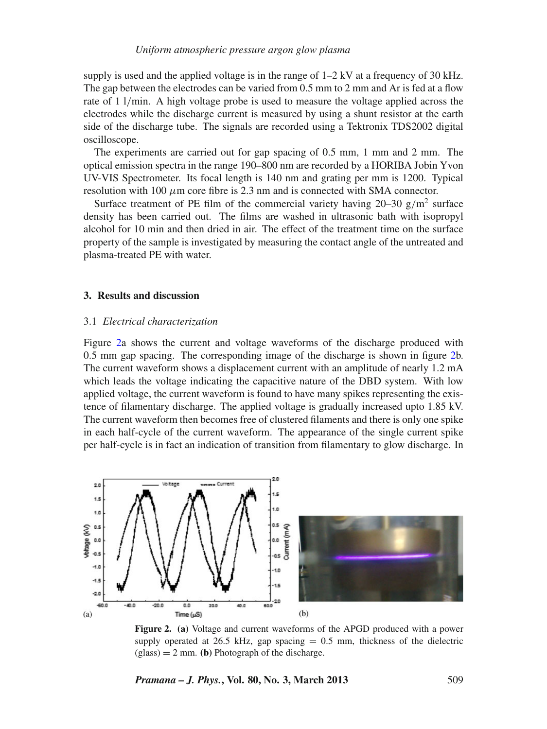supply is used and the applied voltage is in the range of  $1-2$  kV at a frequency of 30 kHz. The gap between the electrodes can be varied from 0.5 mm to 2 mm and Ar is fed at a flow rate of 1 l/min. A high voltage probe is used to measure the voltage applied across the electrodes while the discharge current is measured by using a shunt resistor at the earth side of the discharge tube. The signals are recorded using a Tektronix TDS2002 digital oscilloscope.

The experiments are carried out for gap spacing of 0.5 mm, 1 mm and 2 mm. The optical emission spectra in the range 190–800 nm are recorded by a HORIBA Jobin Yvon UV-VIS Spectrometer. Its focal length is 140 nm and grating per mm is 1200. Typical resolution with 100  $\mu$ m core fibre is 2.3 nm and is connected with SMA connector.

Surface treatment of PE film of the commercial variety having  $20-30$  g/m<sup>2</sup> surface density has been carried out. The films are washed in ultrasonic bath with isopropyl alcohol for 10 min and then dried in air. The effect of the treatment time on the surface property of the sample is investigated by measuring the contact angle of the untreated and plasma-treated PE with water.

## **3. Results and discussion**

## 3.1 *Electrical characterization*

Figure [2a](#page-2-0) shows the current and voltage waveforms of the discharge produced with 0.5 mm gap spacing. The corresponding image of the discharge is shown in figure [2b](#page-2-0). The current waveform shows a displacement current with an amplitude of nearly 1.2 mA which leads the voltage indicating the capacitive nature of the DBD system. With low applied voltage, the current waveform is found to have many spikes representing the existence of filamentary discharge. The applied voltage is gradually increased upto 1.85 kV. The current waveform then becomes free of clustered filaments and there is only one spike in each half-cycle of the current waveform. The appearance of the single current spike per half-cycle is in fact an indication of transition from filamentary to glow discharge. In

<span id="page-2-0"></span>

**Figure 2. (a)** Voltage and current waveforms of the APGD produced with a power supply operated at 26.5 kHz, gap spacing  $= 0.5$  mm, thickness of the dielectric  $(glass) = 2$  mm. **(b)** Photograph of the discharge.

*Pramana – J. Phys.***, Vol. 80, No. 3, March 2013** 509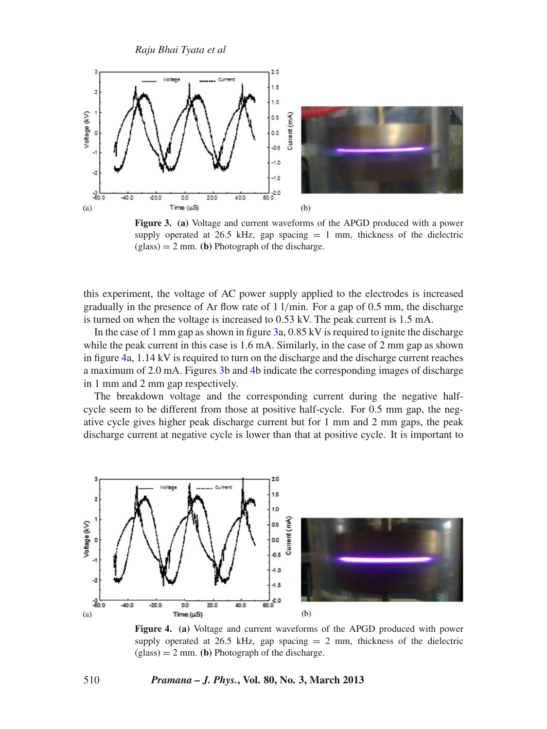<span id="page-3-0"></span>

**Figure 3. (a)** Voltage and current waveforms of the APGD produced with a power supply operated at 26.5 kHz, gap spacing  $= 1$  mm, thickness of the dielectric (glass) = 2 mm. **(b)** Photograph of the discharge.

this experiment, the voltage of AC power supply applied to the electrodes is increased gradually in the presence of Ar flow rate of 1 l/min. For a gap of 0.5 mm, the discharge is turned on when the voltage is increased to 0.53 kV. The peak current is 1.5 mA.

In the case of 1 mm gap as shown in figure [3a](#page-3-0), 0.85 kV is required to ignite the discharge while the peak current in this case is 1.6 mA. Similarly, in the case of 2 mm gap as shown in figure [4a](#page-3-1), 1.14 kV is required to turn on the discharge and the discharge current reaches a maximum of 2.0 mA. Figures [3b](#page-3-0) and [4b](#page-3-1) indicate the corresponding images of discharge in 1 mm and 2 mm gap respectively.

The breakdown voltage and the corresponding current during the negative halfcycle seem to be different from those at positive half-cycle. For 0.5 mm gap, the negative cycle gives higher peak discharge current but for 1 mm and 2 mm gaps, the peak discharge current at negative cycle is lower than that at positive cycle. It is important to

<span id="page-3-1"></span>

**Figure 4. (a)** Voltage and current waveforms of the APGD produced with power supply operated at 26.5 kHz, gap spacing  $= 2$  mm, thickness of the dielectric  $(glass) = 2$  mm. **(b)** Photograph of the discharge.

### 510 *Pramana – J. Phys.***, Vol. 80, No. 3, March 2013**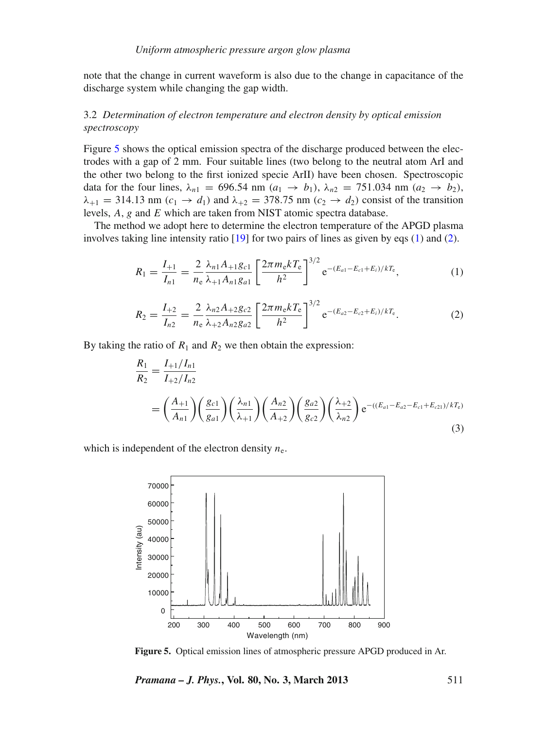note that the change in current waveform is also due to the change in capacitance of the discharge system while changing the gap width.

## 3.2 *Determination of electron temperature and electron density by optical emission spectroscopy*

Figure [5](#page-4-0) shows the optical emission spectra of the discharge produced between the electrodes with a gap of 2 mm. Four suitable lines (two belong to the neutral atom ArI and the other two belong to the first ionized specie ArII) have been chosen. Spectroscopic data for the four lines,  $\lambda_{n1} = 696.54$  nm  $(a_1 \to b_1)$ ,  $\lambda_{n2} = 751.034$  nm  $(a_2 \to b_2)$ ,  $\lambda_{+1} = 314.13$  nm  $(c_1 \rightarrow d_1)$  and  $\lambda_{+2} = 378.75$  nm  $(c_2 \rightarrow d_2)$  consist of the transition levels, *A*, *g* and *E* which are taken from NIST atomic spectra database.

The method we adopt here to determine the electron temperature of the APGD plasma involves taking line intensity ratio [\[19](#page-10-13)] for two pairs of lines as given by eqs [\(1\)](#page-4-1) and [\(2\)](#page-4-2).

<span id="page-4-1"></span>
$$
R_1 = \frac{I_{+1}}{I_{n1}} = \frac{2}{n_e} \frac{\lambda_{n1} A_{+1} g_{c1}}{\lambda_{+1} A_{n1} g_{a1}} \left[ \frac{2 \pi m_e k T_e}{h^2} \right]^{3/2} e^{-(E_{a1} - E_{c1} + E_i)/k T_e}, \tag{1}
$$

<span id="page-4-2"></span>
$$
R_2 = \frac{I_{+2}}{I_{n2}} = \frac{2}{n_e} \frac{\lambda_{n2} A_{+2} g_{c2}}{\lambda_{+2} A_{n2} g_{a2}} \left[ \frac{2 \pi m_e k T_e}{h^2} \right]^{3/2} e^{-(E_{a2} - E_{c2} + E_i)/k T_e}.
$$
 (2)

By taking the ratio of  $R_1$  and  $R_2$  we then obtain the expression:

<span id="page-4-3"></span>
$$
\frac{R_1}{R_2} = \frac{I_{+1}/I_{n1}}{I_{+2}/I_{n2}} \n= \left(\frac{A_{+1}}{A_{n1}}\right) \left(\frac{g_{c1}}{g_{a1}}\right) \left(\frac{\lambda_{n1}}{\lambda_{+1}}\right) \left(\frac{A_{n2}}{A_{+2}}\right) \left(\frac{g_{a2}}{g_{c2}}\right) \left(\frac{\lambda_{+2}}{\lambda_{n2}}\right) e^{-(\left(E_{a1} - E_{a2} - E_{c1} + E_{c21}\right)/kT_c)}
$$
\n(3)

<span id="page-4-0"></span>which is independent of the electron density  $n_e$ .



**Figure 5.** Optical emission lines of atmospheric pressure APGD produced in Ar.

*Pramana – J. Phys.***, Vol. 80, No. 3, March 2013** 511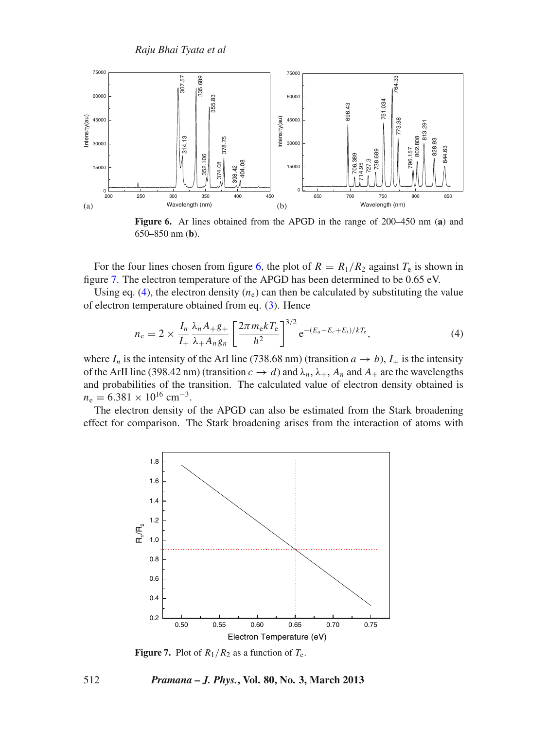<span id="page-5-0"></span>

**Figure 6.** Ar lines obtained from the APGD in the range of 200–450 nm (**a**) and 650–850 nm (**b**).

For the four lines chosen from figure [6,](#page-5-0) the plot of  $R = R_1/R_2$  against  $T_e$  is shown in figure [7.](#page-5-1) The electron temperature of the APGD has been determined to be 0.65 eV.

Using eq. [\(4\)](#page-5-2), the electron density  $(n_e)$  can then be calculated by substituting the value of electron temperature obtained from eq. [\(3\)](#page-4-3). Hence

<span id="page-5-2"></span>
$$
n_{\rm e} = 2 \times \frac{I_n}{I_+} \frac{\lambda_n A_+ g_+}{\lambda_+ A_n g_n} \left[ \frac{2 \pi m_{\rm e} k T_{\rm e}}{h^2} \right]^{3/2} e^{-(E_a - E_c + E_i)/kT_{\rm e}}, \tag{4}
$$

where  $I_n$  is the intensity of the ArI line (738.68 nm) (transition  $a \rightarrow b$ ),  $I_+$  is the intensity of the ArII line (398.42 nm) (transition  $c \to d$ ) and  $\lambda_n$ ,  $\lambda_+$ ,  $A_n$  and  $A_+$  are the wavelengths and probabilities of the transition. The calculated value of electron density obtained is  $n_e = 6.381 \times 10^{16}$  cm<sup>-3</sup>.

<span id="page-5-1"></span>The electron density of the APGD can also be estimated from the Stark broadening effect for comparison. The Stark broadening arises from the interaction of atoms with



**Figure 7.** Plot of  $R_1/R_2$  as a function of  $T_e$ .

### 512 *Pramana – J. Phys.***, Vol. 80, No. 3, March 2013**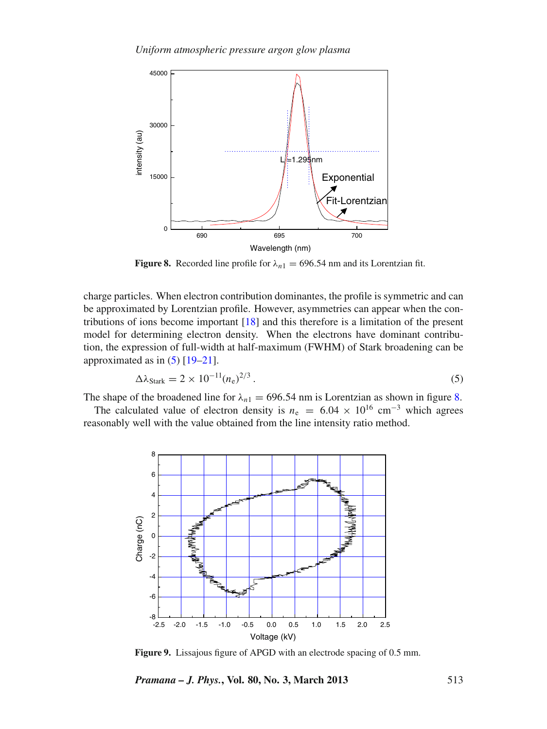<span id="page-6-1"></span>

**Figure 8.** Recorded line profile for  $\lambda_{n1} = 696.54$  nm and its Lorentzian fit.

charge particles. When electron contribution dominantes, the profile is symmetric and can be approximated by Lorentzian profile. However, asymmetries can appear when the contributions of ions become important [\[18\]](#page-10-14) and this therefore is a limitation of the present model for determining electron density. When the electrons have dominant contribution, the expression of full-width at half-maximum (FWHM) of Stark broadening can be approximated as in  $(5)$  [\[19](#page-10-13)[–21\]](#page-10-15).

<span id="page-6-0"></span>
$$
\Delta\lambda_{\text{Stark}} = 2 \times 10^{-11} (n_e)^{2/3} \,. \tag{5}
$$

The shape of the broadened line for  $\lambda_{n1} = 696.54$  nm is Lorentzian as shown in figure [8.](#page-6-1)

<span id="page-6-2"></span>The calculated value of electron density is  $n_e = 6.04 \times 10^{16}$  cm<sup>-3</sup> which agrees reasonably well with the value obtained from the line intensity ratio method.



**Figure 9.** Lissajous figure of APGD with an electrode spacing of 0.5 mm.

*Pramana – J. Phys.***, Vol. 80, No. 3, March 2013** 513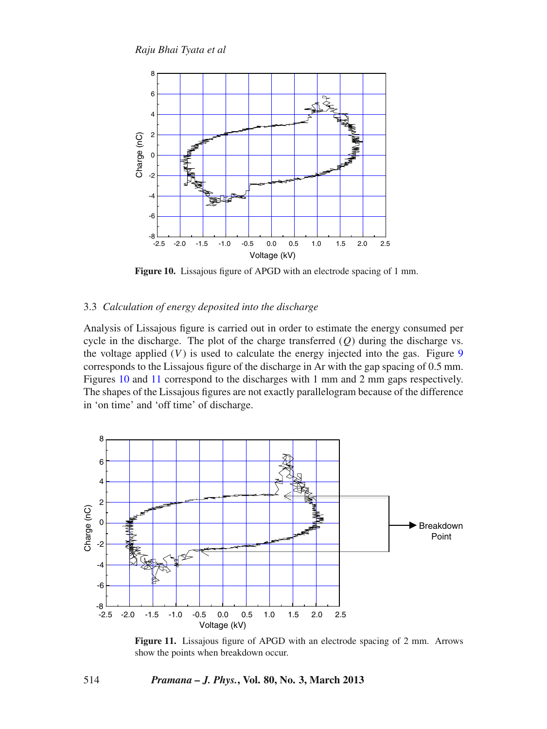<span id="page-7-0"></span>

**Figure 10.** Lissajous figure of APGD with an electrode spacing of 1 mm.

## 3.3 *Calculation of energy deposited into the discharge*

Analysis of Lissajous figure is carried out in order to estimate the energy consumed per cycle in the discharge. The plot of the charge transferred  $(Q)$  during the discharge vs. the voltage applied  $(V)$  is used to calculate the energy injected into the gas. Figure [9](#page-6-2) corresponds to the Lissajous figure of the discharge in Ar with the gap spacing of 0.5 mm. Figures [10](#page-7-0) and [11](#page-7-1) correspond to the discharges with 1 mm and 2 mm gaps respectively. The shapes of the Lissajous figures are not exactly parallelogram because of the difference in 'on time' and 'off time' of discharge.

<span id="page-7-1"></span>

**Figure 11.** Lissajous figure of APGD with an electrode spacing of 2 mm. Arrows show the points when breakdown occur.

## 514 *Pramana – J. Phys.***, Vol. 80, No. 3, March 2013**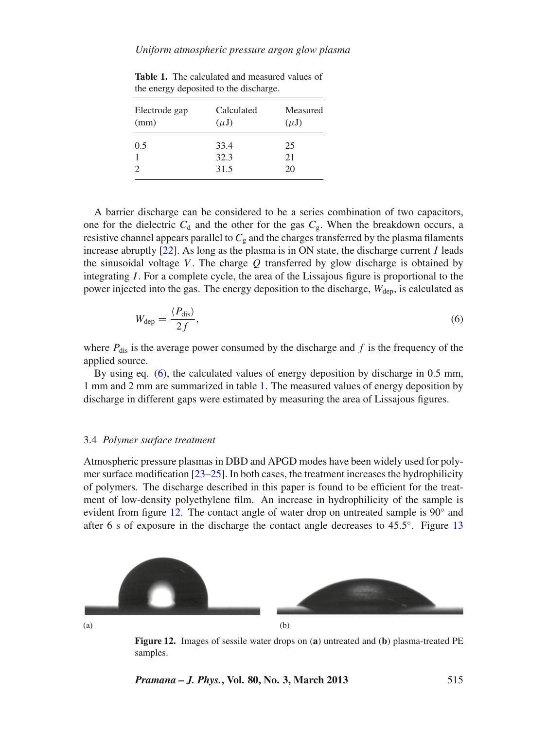| Electrode gap<br>(mm) | Calculated<br>$(\mu J)$ | Measured<br>$(\mu J)$ |
|-----------------------|-------------------------|-----------------------|
| 0.5                   | 33.4                    | 25                    |
|                       | 32.3                    | 21                    |
|                       | 31.5                    | 20                    |

<span id="page-8-1"></span>**Table 1.** The calculated and measured values of the energy deposited to the discharge.

A barrier discharge can be considered to be a series combination of two capacitors, one for the dielectric  $C_d$  and the other for the gas  $C_g$ . When the breakdown occurs, a resistive channel appears parallel to  $C_g$  and the charges transferred by the plasma filaments increase abruptly  $[22]$ . As long as the plasma is in ON state, the discharge current *I* leads the sinusoidal voltage  $V$ . The charge  $Q$  transferred by glow discharge is obtained by integrating *I*. For a complete cycle, the area of the Lissajous figure is proportional to the power injected into the gas. The energy deposition to the discharge,  $W_{den}$ , is calculated as

<span id="page-8-0"></span>
$$
W_{\rm dep} = \frac{\langle P_{\rm dis} \rangle}{2f},\tag{6}
$$

where  $P_{dis}$  is the average power consumed by the discharge and  $f$  is the frequency of the applied source.

By using eq. [\(6\)](#page-8-0), the calculated values of energy deposition by discharge in 0.5 mm, 1 mm and 2 mm are summarized in table [1.](#page-8-1) The measured values of energy deposition by discharge in different gaps were estimated by measuring the area of Lissajous figures.

#### 3.4 *Polymer surface treatment*

Atmospheric pressure plasmas in DBD and APGD modes have been widely used for polymer surface modification  $[23-25]$  $[23-25]$ . In both cases, the treatment increases the hydrophilicity of polymers. The discharge described in this paper is found to be efficient for the treatment of low-density polyethylene film. An increase in hydrophilicity of the sample is evident from figure [12.](#page-8-2) The contact angle of water drop on untreated sample is  $90^\circ$  and after 6 s of exposure in the discharge the contact angle decreases to 45.5◦. Figure [13](#page-9-0)

<span id="page-8-2"></span>

**Figure 12.** Images of sessile water drops on (**a**) untreated and (**b**) plasma-treated PE samples.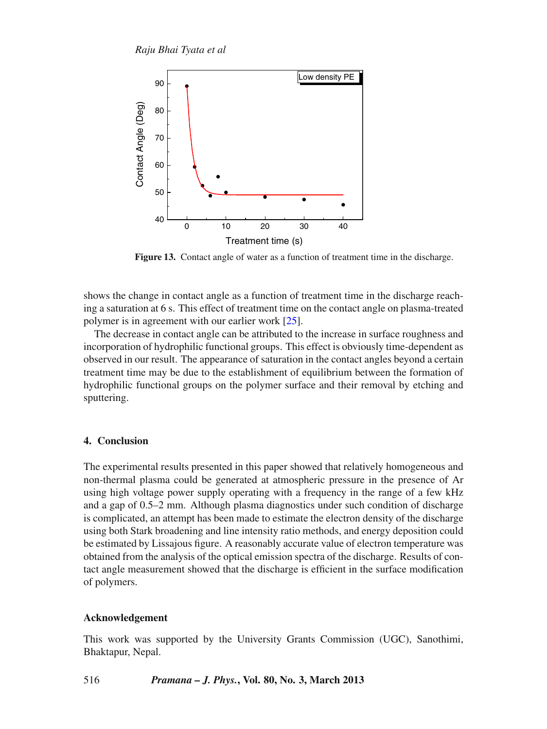<span id="page-9-0"></span>

**Figure 13.** Contact angle of water as a function of treatment time in the discharge.

shows the change in contact angle as a function of treatment time in the discharge reaching a saturation at 6 s. This effect of treatment time on the contact angle on plasma-treated polymer is in agreement with our earlier work [\[25](#page-10-18)].

The decrease in contact angle can be attributed to the increase in surface roughness and incorporation of hydrophilic functional groups. This effect is obviously time-dependent as observed in our result. The appearance of saturation in the contact angles beyond a certain treatment time may be due to the establishment of equilibrium between the formation of hydrophilic functional groups on the polymer surface and their removal by etching and sputtering.

## **4. Conclusion**

The experimental results presented in this paper showed that relatively homogeneous and non-thermal plasma could be generated at atmospheric pressure in the presence of Ar using high voltage power supply operating with a frequency in the range of a few kHz and a gap of 0.5–2 mm. Although plasma diagnostics under such condition of discharge is complicated, an attempt has been made to estimate the electron density of the discharge using both Stark broadening and line intensity ratio methods, and energy deposition could be estimated by Lissajous figure. A reasonably accurate value of electron temperature was obtained from the analysis of the optical emission spectra of the discharge. Results of contact angle measurement showed that the discharge is efficient in the surface modification of polymers.

## **Acknowledgement**

This work was supported by the University Grants Commission (UGC), Sanothimi, Bhaktapur, Nepal.